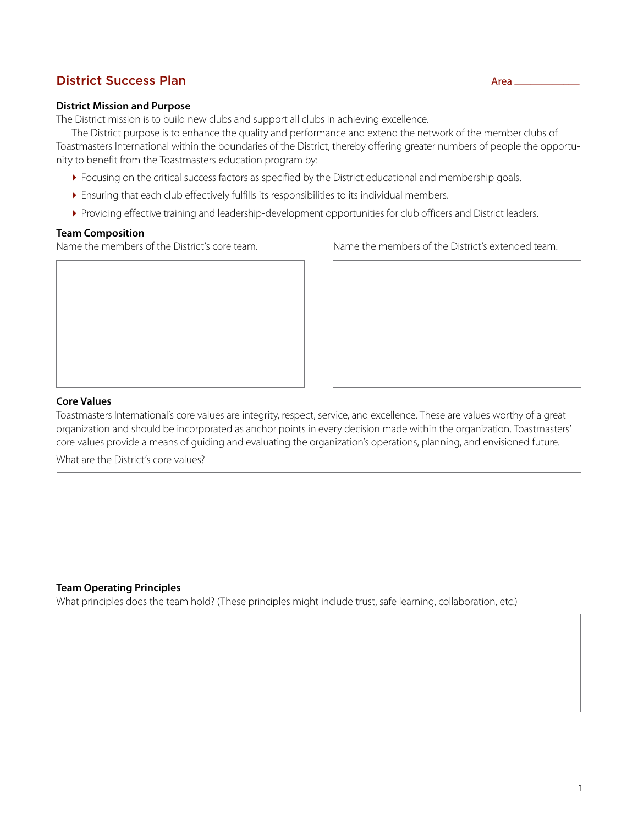## District Success Plan Area \_\_\_\_\_\_\_\_\_\_\_\_

#### **District Mission and Purpose**

The District mission is to build new clubs and support all clubs in achieving excellence.

The District purpose is to enhance the quality and performance and extend the network of the member clubs of Toastmasters International within the boundaries of the District, thereby offering greater numbers of people the opportunity to benefit from the Toastmasters education program by:

- Focusing on the critical success factors as specified by the District educational and membership goals.
- Ensuring that each club effectively fulfills its responsibilities to its individual members.
- Providing effective training and leadership-development opportunities for club officers and District leaders.

#### **Team Composition**

Name the members of the District's core team. Name the members of the District's extended team.





#### **Core Values**

Toastmasters International's core values are integrity, respect, service, and excellence. These are values worthy of a great organization and should be incorporated as anchor points in every decision made within the organization. Toastmasters' core values provide a means of guiding and evaluating the organization's operations, planning, and envisioned future.

What are the District's core values?

#### **Team Operating Principles**

What principles does the team hold? (These principles might include trust, safe learning, collaboration, etc.)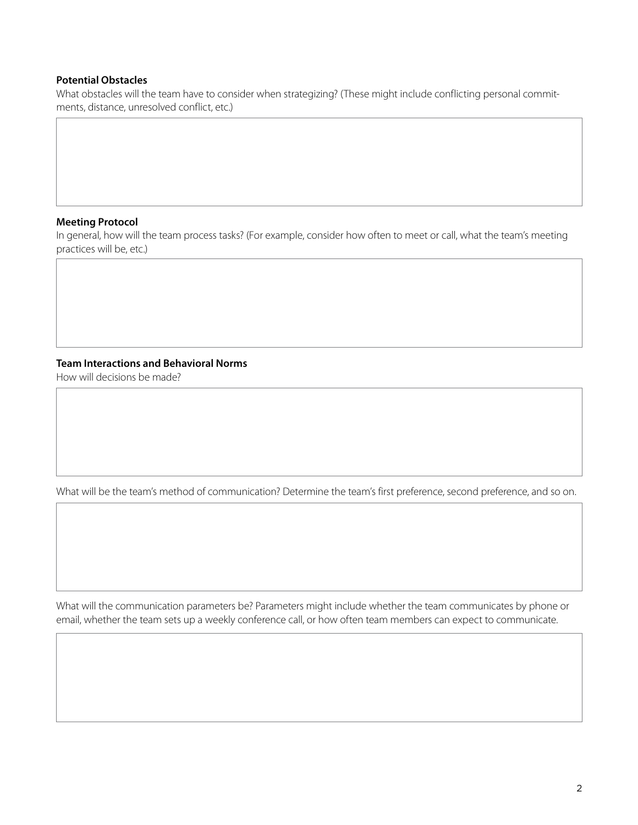#### **Potential Obstacles**

What obstacles will the team have to consider when strategizing? (These might include conflicting personal commitments, distance, unresolved conflict, etc.)

#### **Meeting Protocol**

In general, how will the team process tasks? (For example, consider how often to meet or call, what the team's meeting practices will be, etc.)

### **Team Interactions and Behavioral Norms**

How will decisions be made?

What will be the team's method of communication? Determine the team's first preference, second preference, and so on.

What will the communication parameters be? Parameters might include whether the team communicates by phone or email, whether the team sets up a weekly conference call, or how often team members can expect to communicate.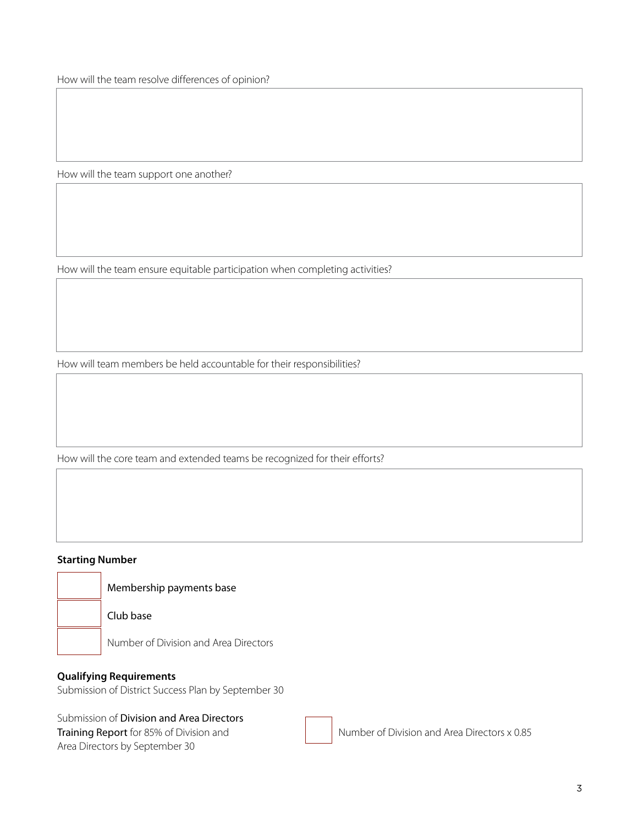How will the team resolve differences of opinion?

How will the team support one another?

How will the team ensure equitable participation when completing activities?

How will team members be held accountable for their responsibilities?

How will the core team and extended teams be recognized for their efforts?

### **Starting Number**

Membership payments base

Club base

Number of Division and Area Directors

### **Qualifying Requirements**

Submission of District Success Plan by September 30

Submission of [Division and Area Directors](https://www.toastmasters.org/resources/Division%20and%20Area%20Directors%20Training%20Report) 

Area Directors by September 30

[Training Report](https://www.toastmasters.org/resources/Division%20and%20Area%20Directors%20Training%20Report) for 85% of Division and Number of Division and Area Directors x 0.85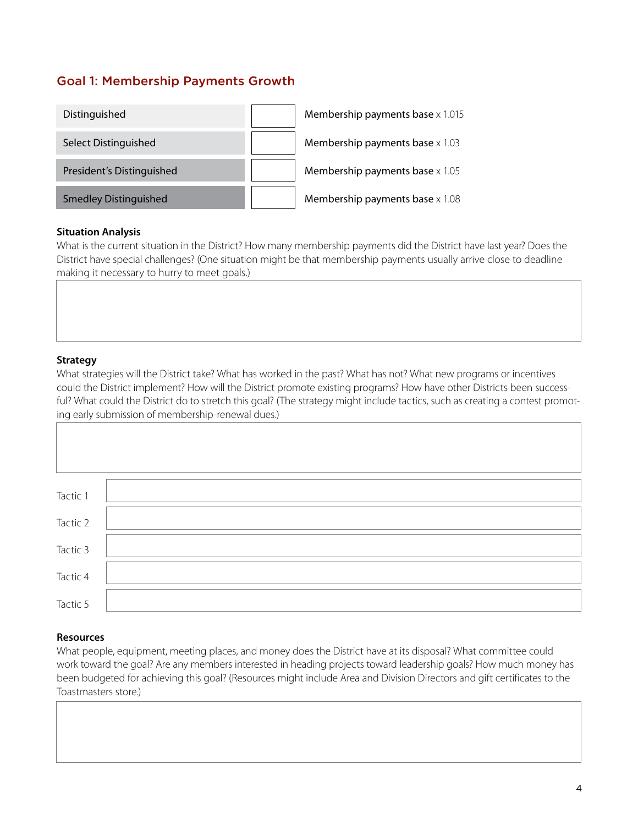# Goal 1: Membership Payments Growth

| Distinguished                | Membership payments base $\times 1.015$ |
|------------------------------|-----------------------------------------|
| Select Distinguished         | Membership payments base $\times$ 1.03  |
| President's Distinguished    | Membership payments base $\times 1.05$  |
| <b>Smedley Distinguished</b> | Membership payments base $\times$ 1.08  |

### **Situation Analysis**

What is the current situation in the District? How many membership payments did the District have last year? Does the District have special challenges? (One situation might be that membership payments usually arrive close to deadline making it necessary to hurry to meet goals.)

### **Strategy**

What strategies will the District take? What has worked in the past? What has not? What new programs or incentives could the District implement? How will the District promote existing programs? How have other Districts been successful? What could the District do to stretch this goal? (The strategy might include tactics, such as creating a contest promoting early submission of membership-renewal dues.)

| Tactic 1 |  |
|----------|--|
|          |  |
|          |  |
|          |  |
| Tactic 2 |  |
|          |  |
|          |  |
| Tactic 3 |  |
|          |  |
|          |  |
|          |  |
| Tactic 4 |  |
|          |  |
|          |  |
| Tactic 5 |  |
|          |  |

#### **Resources**

What people, equipment, meeting places, and money does the District have at its disposal? What committee could work toward the goal? Are any members interested in heading projects toward leadership goals? How much money has been budgeted for achieving this goal? (Resources might include Area and Division Directors and gift certificates to the Toastmasters store.)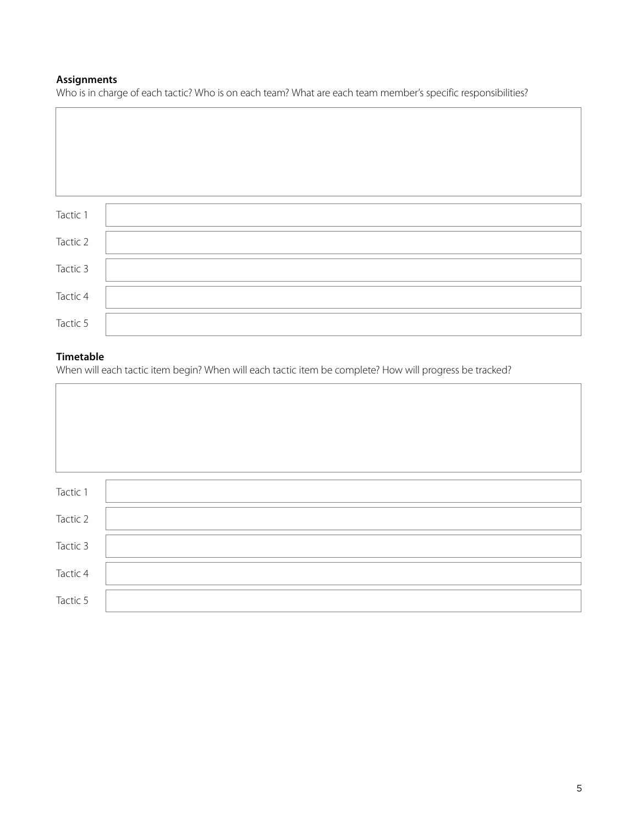## **Assignments**

Who is in charge of each tactic? Who is on each team? What are each team member's specific responsibilities?

| Tactic 1 |  |
|----------|--|
|          |  |
| Tactic 2 |  |
| Tactic 3 |  |
| Tactic 4 |  |
|          |  |
| Tactic 5 |  |

## **Timetable**

When will each tactic item begin? When will each tactic item be complete? How will progress be tracked?

| Tactic 1 |  |
|----------|--|
| Tactic 2 |  |
| Tactic 3 |  |
| Tactic 4 |  |
| Tactic 5 |  |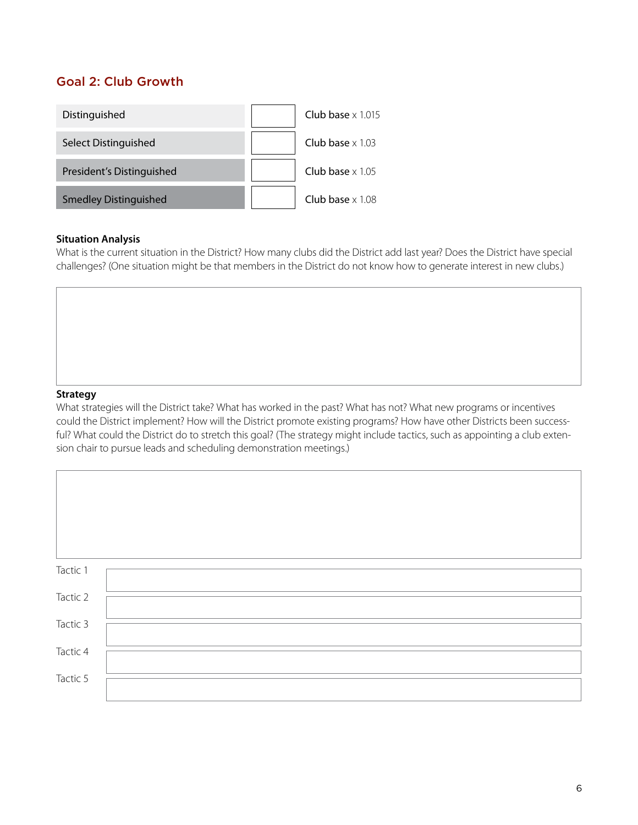# Goal 2: Club Growth



#### **Situation Analysis**

What is the current situation in the District? How many clubs did the District add last year? Does the District have special challenges? (One situation might be that members in the District do not know how to generate interest in new clubs.)

#### **Strategy**

What strategies will the District take? What has worked in the past? What has not? What new programs or incentives could the District implement? How will the District promote existing programs? How have other Districts been successful? What could the District do to stretch this goal? (The strategy might include tactics, such as appointing a club extension chair to pursue leads and scheduling demonstration meetings.)

| Tactic 1 |  |  |
|----------|--|--|
| Tactic 2 |  |  |
|          |  |  |
| Tactic 3 |  |  |
| Tactic 4 |  |  |
| Tactic 5 |  |  |
|          |  |  |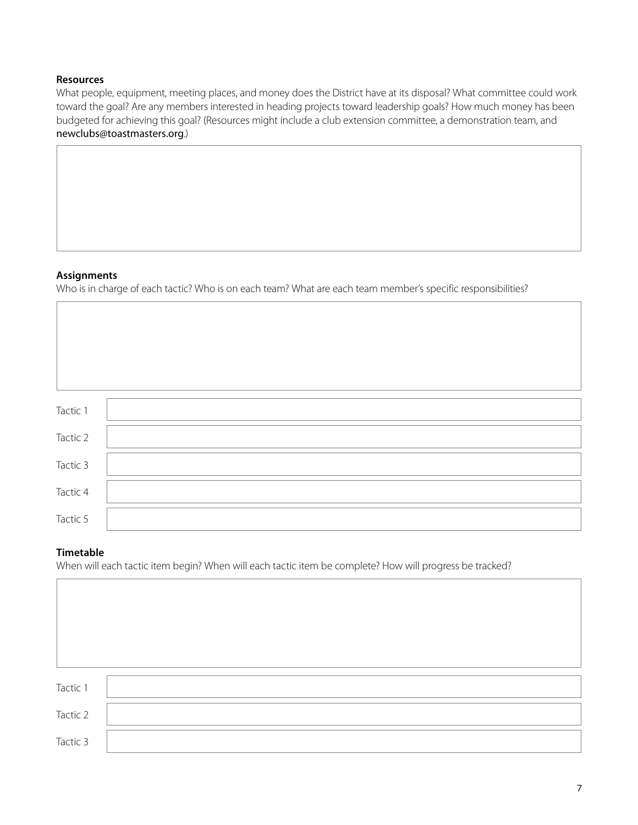### **Resources**

What people, equipment, meeting places, and money does the District have at its disposal? What committee could work toward the goal? Are any members interested in heading projects toward leadership goals? How much money has been budgeted for achieving this goal? (Resources might include a club extension committee, a demonstration team, and newclubs[@toastmasters.org](mailto:newclubs%40toastmasters.org?subject=).)

#### **Assignments**

Who is in charge of each tactic? Who is on each team? What are each team member's specific responsibilities?

| Tactic 1 |  |
|----------|--|
|          |  |
| Tactic 2 |  |
|          |  |
| Tactic 3 |  |
|          |  |
| Tactic 4 |  |
|          |  |
| Tactic 5 |  |

#### **Timetable**

 $\overline{1}$ 

When will each tactic item begin? When will each tactic item be complete? How will progress be tracked?

| Tactic 1 |  |
|----------|--|
| Tactic 2 |  |
| Tactic 3 |  |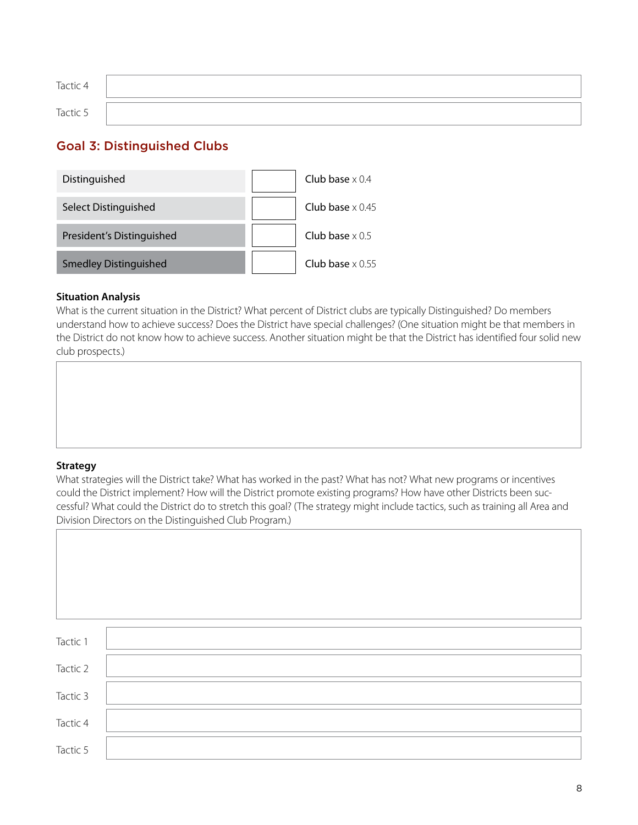| Tactic 4 |  |
|----------|--|
| Tactic 5 |  |

# Goal 3: Distinguished Clubs



### **Situation Analysis**

What is the current situation in the District? What percent of District clubs are typically Distinguished? Do members understand how to achieve success? Does the District have special challenges? (One situation might be that members in the District do not know how to achieve success. Another situation might be that the District has identified four solid new club prospects.)



#### **Strategy**

What strategies will the District take? What has worked in the past? What has not? What new programs or incentives could the District implement? How will the District promote existing programs? How have other Districts been successful? What could the District do to stretch this goal? (The strategy might include tactics, such as training all Area and Division Directors on the Distinguished Club Program.)

| Tactic 1 |  |
|----------|--|
| Tactic 2 |  |
| Tactic 3 |  |
| Tactic 4 |  |
| Tactic 5 |  |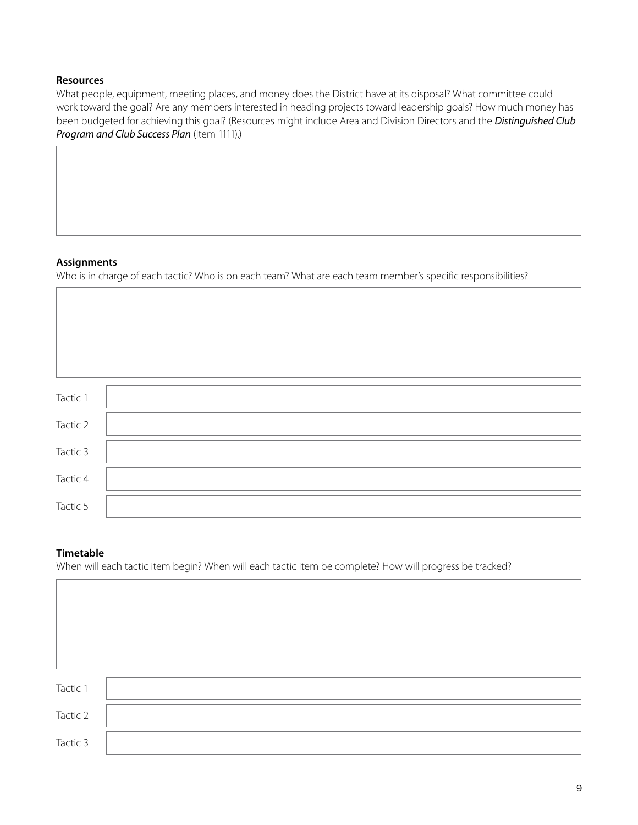### **Resources**

What people, equipment, meeting places, and money does the District have at its disposal? What committee could work toward the goal? Are any members interested in heading projects toward leadership goals? How much money has been budgeted for achieving this goal? (Resources might include Area and Division Directors and the *[Distinguished Club](https://www.toastmasters.org/resources/resource-library?t=1111)  [Program and Club Success Plan](https://www.toastmasters.org/resources/resource-library?t=1111)* (Item 1111).)

#### **Assignments**

Who is in charge of each tactic? Who is on each team? What are each team member's specific responsibilities?

| Tactic 1 |  |
|----------|--|
| Tactic 2 |  |
| Tactic 3 |  |
| Tactic 4 |  |
| Tactic 5 |  |

#### **Timetable**

When will each tactic item begin? When will each tactic item be complete? How will progress be tracked?

| Tactic 1 |  |
|----------|--|
| Tactic 2 |  |
| Tactic 3 |  |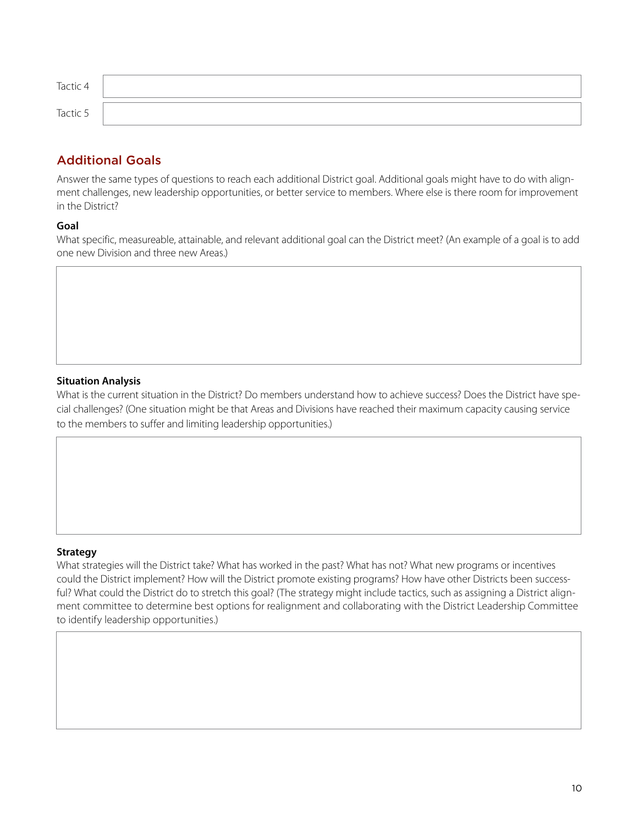| Tactic 4 |  |
|----------|--|
| Tactic 5 |  |

# Additional Goals

Answer the same types of questions to reach each additional District goal. Additional goals might have to do with alignment challenges, new leadership opportunities, or better service to members. Where else is there room for improvement in the District?

### **Goal**

What specific, measureable, attainable, and relevant additional goal can the District meet? (An example of a goal is to add one new Division and three new Areas.)

## **Situation Analysis**

What is the current situation in the District? Do members understand how to achieve success? Does the District have special challenges? (One situation might be that Areas and Divisions have reached their maximum capacity causing service to the members to suffer and limiting leadership opportunities.)

#### **Strategy**

What strategies will the District take? What has worked in the past? What has not? What new programs or incentives could the District implement? How will the District promote existing programs? How have other Districts been successful? What could the District do to stretch this goal? (The strategy might include tactics, such as assigning a District alignment committee to determine best options for realignment and collaborating with the District Leadership Committee to identify leadership opportunities.)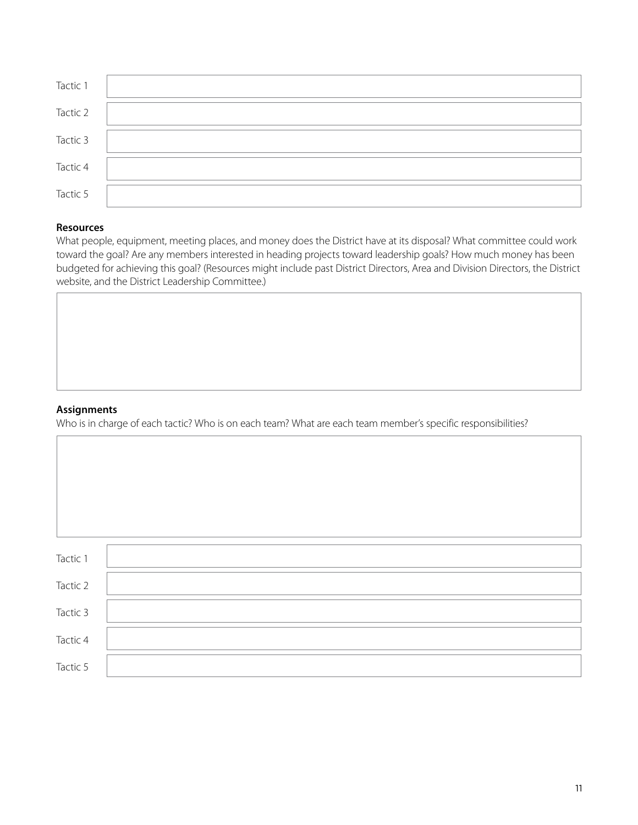| Tactic 1 |  |
|----------|--|
| Tactic 2 |  |
| Tactic 3 |  |
| Tactic 4 |  |
| Tactic 5 |  |

#### **Resources**

What people, equipment, meeting places, and money does the District have at its disposal? What committee could work toward the goal? Are any members interested in heading projects toward leadership goals? How much money has been budgeted for achieving this goal? (Resources might include past District Directors, Area and Division Directors, the District website, and the District Leadership Committee.)

#### **Assignments**

Who is in charge of each tactic? Who is on each team? What are each team member's specific responsibilities?

| Tactic 1 |  |
|----------|--|
| Tactic 2 |  |
| Tactic 3 |  |
| Tactic 4 |  |
| Tactic 5 |  |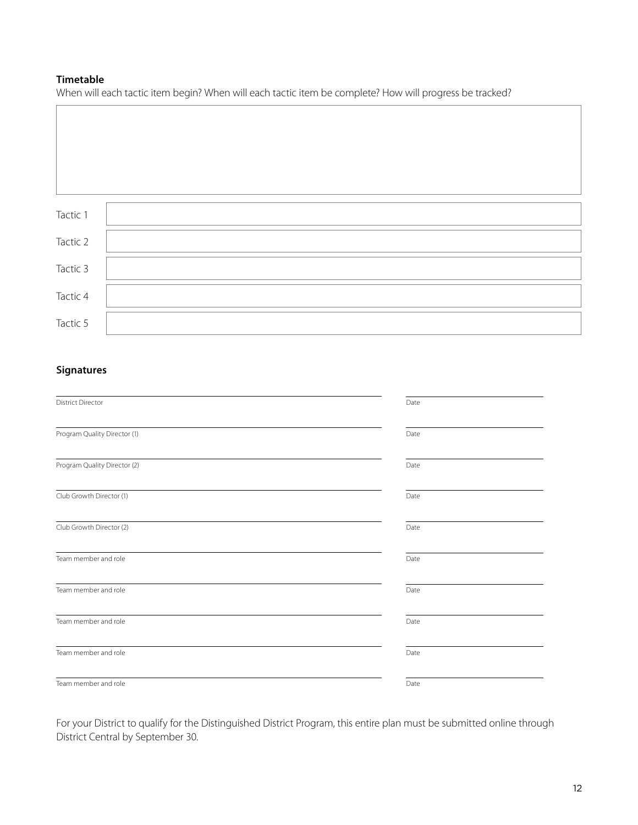## **Timetable**

When will each tactic item begin? When will each tactic item be complete? How will progress be tracked?

| Tactic 1 |  |
|----------|--|
| Tactic 2 |  |
| Tactic 3 |  |
| Tactic 4 |  |
| Tactic 5 |  |

## **Signatures**

| <b>District Director</b>     | Date |
|------------------------------|------|
| Program Quality Director (1) | Date |
| Program Quality Director (2) | Date |
| Club Growth Director (1)     | Date |
| Club Growth Director (2)     | Date |
| Team member and role         | Date |
| Team member and role         | Date |
| Team member and role         | Date |
| Team member and role         | Date |
| Team member and role         | Date |

For your District to qualify for the Distinguished District Program, this entire plan must be submitted online through District Central by September 30.